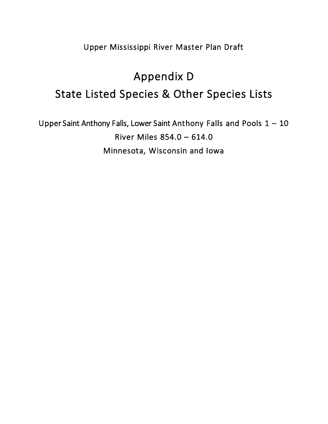Upper Mississippi River Master Plan Draft

## Appendix D State Listed Species & Other Species Lists

Upper Saint Anthony Falls, Lower Saint Anthony Falls and Pools 1 – 10 River Miles 854.0 – 614.0 Minnesota, Wisconsin and Iowa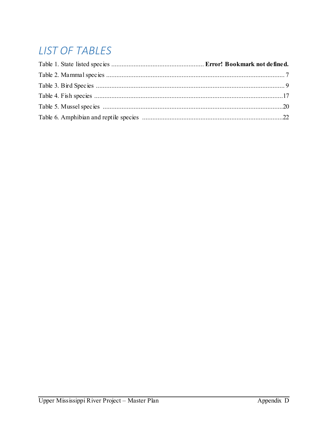## **LIST OF TABLES**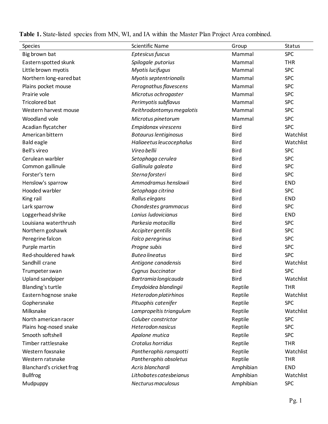**Table 1.** State-listed species from MN, WI, and IA within the Master Plan Project Area combined.

| Species                  | <b>Scientific Name</b>       | Group       | <b>Status</b> |
|--------------------------|------------------------------|-------------|---------------|
| Big brown bat            | Eptesicus fuscus             | Mammal      | <b>SPC</b>    |
| Eastern spotted skunk    | Spilogale putorius           | Mammal      | <b>THR</b>    |
| Little brown myotis      | Myotis lucifugus             | Mammal      | <b>SPC</b>    |
| Northern long-eared bat  | Myotis septentrionalis       | Mammal      | <b>SPC</b>    |
| Plains pocket mouse      | Perognathus flavescens       | Mammal      | <b>SPC</b>    |
| Prairie vole             | Microtus ochrogaster         | Mammal      | <b>SPC</b>    |
| <b>Tricolored bat</b>    | Perimyotis subflavus         | Mammal      | <b>SPC</b>    |
| Western harvest mouse    | Reithrodontomys megalotis    | Mammal      | <b>SPC</b>    |
| Woodland vole            | Microtus pinetorum           | Mammal      | <b>SPC</b>    |
| Acadian flycatcher       | <b>Empidonax virescens</b>   | <b>Bird</b> | <b>SPC</b>    |
| American bittern         | <b>Botaurus lentiginosus</b> | <b>Bird</b> | Watchlist     |
| <b>Bald eagle</b>        | Haliaeetus leucocephalus     | <b>Bird</b> | Watchlist     |
| <b>Bell's vireo</b>      | Vireo bellii                 | <b>Bird</b> | <b>SPC</b>    |
| Cerulean warbler         | Setophaga cerulea            | <b>Bird</b> | <b>SPC</b>    |
| Common gallinule         | Gallinula galeata            | <b>Bird</b> | <b>SPC</b>    |
| Forster's tern           | Sterna forsteri              | <b>Bird</b> | <b>SPC</b>    |
| Henslow's sparrow        | Ammodramus henslowii         | <b>Bird</b> | <b>END</b>    |
| Hooded warbler           | Setophaga citrina            | <b>Bird</b> | <b>SPC</b>    |
| King rail                | Rallus elegans               | <b>Bird</b> | <b>END</b>    |
| Lark sparrow             | Chondestes grammacus         | <b>Bird</b> | <b>SPC</b>    |
| Loggerhead shrike        | Lanius ludovicianus          | <b>Bird</b> | <b>END</b>    |
| Louisiana waterthrush    | Parkesia motacilla           | <b>Bird</b> | <b>SPC</b>    |
| Northern goshawk         | Accipiter gentilis           | <b>Bird</b> | <b>SPC</b>    |
| Peregrine falcon         | Falco peregrinus             | <b>Bird</b> | <b>SPC</b>    |
| Purple martin            | Progne subis                 | <b>Bird</b> | <b>SPC</b>    |
| Red-shouldered hawk      | <b>Buteo lineatus</b>        | <b>Bird</b> | <b>SPC</b>    |
| Sandhill crane           | Antigone canadensis          | <b>Bird</b> | Watchlist     |
| Trumpeter swan           | Cygnus buccinator            | <b>Bird</b> | <b>SPC</b>    |
| Upland sandpiper         | Bartramia longicauda         | <b>Bird</b> | Watchlist     |
| Blanding's turtle        | Emydoidea blandingii         | Reptile     | <b>THR</b>    |
| Eastern hognose snake    | Heterodon platirhinos        | Reptile     | Watchlist     |
| Gophersnake              | Pituophis catenifer          | Reptile     | <b>SPC</b>    |
| Milksnake                | Lampropeltis triangulum      | Reptile     | Watchlist     |
| North american racer     | Coluber constrictor          | Reptile     | <b>SPC</b>    |
| Plains hog-nosed snake   | Heterodon nasicus            | Reptile     | <b>SPC</b>    |
| Smooth softshell         | Apalone mutica               | Reptile     | <b>SPC</b>    |
| Timber rattlesnake       | Crotalus horridus            | Reptile     | <b>THR</b>    |
| Western foxsnake         | Pantherophis ramspotti       | Reptile     | Watchlist     |
| Western ratsnake         | Pantherophis obsoletus       | Reptile     | <b>THR</b>    |
| Blanchard's cricket frog | Acris blanchardi             | Amphibian   | <b>END</b>    |
| <b>Bullfrog</b>          | Lithobates catesbeianus      | Amphibian   | Watchlist     |
| Mudpuppy                 | Necturus maculosus           | Amphibian   | <b>SPC</b>    |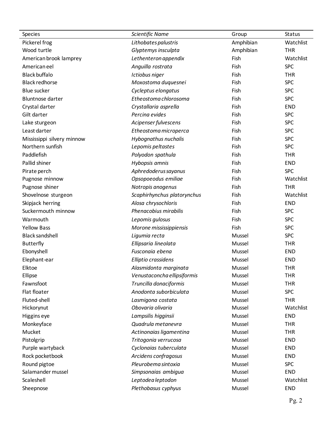| Species                    | Scientific Name             | Group     | Status     |
|----------------------------|-----------------------------|-----------|------------|
| Pickerel frog              | Lithobates palustris        | Amphibian | Watchlist  |
| Wood turtle                | Glyptemys insculpta         | Amphibian | <b>THR</b> |
| American brook lamprey     | Lethenteron appendix        | Fish      | Watchlist  |
| American eel               | Anguilla rostrata           | Fish      | <b>SPC</b> |
| <b>Black buffalo</b>       | Ictiobus niger              | Fish      | <b>THR</b> |
| <b>Black redhorse</b>      | Moxostoma duquesnei         | Fish      | <b>SPC</b> |
| <b>Blue sucker</b>         | Cycleptus elongatus         | Fish      | <b>SPC</b> |
| <b>Bluntnose darter</b>    | Etheostoma chlorosoma       | Fish      | <b>SPC</b> |
| Crystal darter             | Crystallaria asprella       | Fish      | <b>END</b> |
| Gilt darter                | Percina evides              | Fish      | <b>SPC</b> |
| Lake sturgeon              | Acipenser fulvescens        | Fish      | <b>SPC</b> |
| Least darter               | Etheostoma microperca       | Fish      | <b>SPC</b> |
| Mississippi silvery minnow | Hybognathus nuchalis        | Fish      | <b>SPC</b> |
| Northern sunfish           | Lepomis peltastes           | Fish      | <b>SPC</b> |
| Paddlefish                 | Polyodon spathula           | Fish      | <b>THR</b> |
| Pallid shiner              | Hybopsis amnis              | Fish      | <b>END</b> |
| Pirate perch               | Aphredoderus sayanus        | Fish      | <b>SPC</b> |
| Pugnose minnow             | Opsopoeodus emiliae         | Fish      | Watchlist  |
| Pugnose shiner             | Notropis anogenus           | Fish      | <b>THR</b> |
| Shovelnose sturgeon        | Scaphirhynchus platorynchus | Fish      | Watchlist  |
| Skipjack herring           | Alosa chrysochloris         | Fish      | <b>END</b> |
| Suckermouth minnow         | Phenacobius mirabilis       | Fish      | <b>SPC</b> |
| Warmouth                   | Lepomis gulosus             | Fish      | <b>SPC</b> |
| <b>Yellow Bass</b>         | Morone mississippiensis     | Fish      | <b>SPC</b> |
| <b>Black sandshell</b>     | Ligumia recta               | Mussel    | <b>SPC</b> |
| <b>Butterfly</b>           | Ellipsaria lineolata        | Mussel    | <b>THR</b> |
| Ebonyshell                 | Fusconaia ebena             | Mussel    | <b>END</b> |
| Elephant-ear               | Elliptio crassidens         | Mussel    | <b>END</b> |
| Elktoe                     | Alasmidonta marginata       | Mussel    | <b>THR</b> |
| Ellipse                    | Venustaconcha ellipsiformis | Mussel    | <b>THR</b> |
| Fawnsfoot                  | Truncilla donaciformis      | Mussel    | <b>THR</b> |
| Flat floater               | Anodonta suborbiculata      | Mussel    | <b>SPC</b> |
| Fluted-shell               | Lasmigona costata           | Mussel    | <b>THR</b> |
| Hickorynut                 | Obovaria olivaria           | Mussel    | Watchlist  |
| Higgins eye                | Lampsilis higginsii         | Mussel    | <b>END</b> |
| Monkeyface                 | Quadrula metanevra          | Mussel    | <b>THR</b> |
| Mucket                     | Actinonaias ligamentina     | Mussel    | <b>THR</b> |
| Pistolgrip                 | Tritogonia verrucosa        | Mussel    | <b>END</b> |
| Purple wartyback           | Cyclonaias tuberculata      | Mussel    | <b>END</b> |
| Rock pocketbook            | Arcidens confragosus        | Mussel    | <b>END</b> |
| Round pigtoe               | Pleurobema sintoxia         | Mussel    | <b>SPC</b> |
| Salamander mussel          | Simpsonaias ambigua         | Mussel    | <b>END</b> |
| Scaleshell                 | Leptodea leptodon           | Mussel    | Watchlist  |
| Sheepnose                  | Plethobasus cyphyus         | Mussel    | <b>END</b> |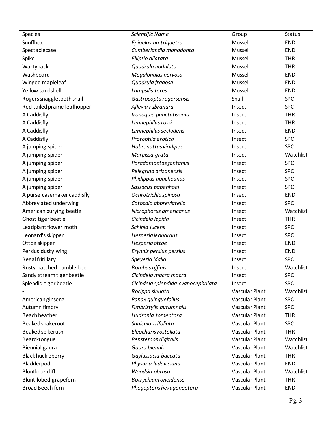| Species                       | Scientific Name                    | Group                 | Status     |
|-------------------------------|------------------------------------|-----------------------|------------|
| Snuffbox                      | Epioblasma triquetra               | Mussel                | <b>END</b> |
| Spectaclecase                 | Cumberlandia monodonta             | Mussel                | <b>END</b> |
| Spike                         | Elliptio dilatata                  | Mussel                | <b>THR</b> |
| Wartyback                     | Quadrula nodulata                  | Mussel                | <b>THR</b> |
| Washboard                     | Megalonaias nervosa                | Mussel                | <b>END</b> |
| Winged mapleleaf              | Quadrula fragosa                   | Mussel                | <b>END</b> |
| Yellow sandshell              | Lampsilis teres                    | Mussel                | <b>END</b> |
| Rogers snaggletooth snail     | Gastrocopta rogersensis            | Snail                 | <b>SPC</b> |
| Red-tailed prairie leafhopper | Aflexia rubranura                  | Insect                | <b>SPC</b> |
| A Caddisfly                   | Ironoquia punctatissima            | Insect                | <b>THR</b> |
| A Caddisfly                   | Limnephilus rossi                  | Insect                | <b>THR</b> |
| A Caddisfly                   | Limnephilus secludens              | Insect                | <b>END</b> |
| A Caddisfly                   | Protoptila erotica                 | Insect                | <b>SPC</b> |
| A jumping spider              | Habronattus viridipes              | Insect                | <b>SPC</b> |
| A jumping spider              | Marpissa grata                     | Insect                | Watchlist  |
| A jumping spider              | Paradamoetas fontanus              | Insect                | <b>SPC</b> |
| A jumping spider              | Pelegrina arizonensis              | Insect                | <b>SPC</b> |
| A jumping spider              | Phidippus apacheanus               | Insect                | <b>SPC</b> |
| A jumping spider              | Sassacus papenhoei                 | Insect                | <b>SPC</b> |
| A purse casemaker caddisfly   | Ochrotrichia spinosa               | Insect                | <b>END</b> |
| Abbreviated underwing         | Catocala abbreviatella             | Insect                | <b>SPC</b> |
| American burying beetle       | Nicrophorus americanus             | Insect                | Watchlist  |
| Ghost tiger beetle            | Cicindela lepida                   | Insect                | <b>THR</b> |
| Leadplant flower moth         | Schinia lucens                     | Insect                | <b>SPC</b> |
| Leonard's skipper             | Hesperia leonardus                 | Insect                | <b>SPC</b> |
| Ottoe skipper                 | Hesperia ottoe                     | Insect                | <b>END</b> |
| Persius dusky wing            | Erynnis persius persius            | Insect                | <b>END</b> |
| Regal fritillary              | Speyeria idalia                    | Insect                | <b>SPC</b> |
| Rusty-patched bumble bee      | <b>Bombus affinis</b>              | Insect                | Watchlist  |
| Sandy stream tiger beetle     | Cicindela macra macra              | Insect                | <b>SPC</b> |
| Splendid tiger beetle         | Cicindela splendida cyanocephalata | Insect                | <b>SPC</b> |
|                               | Rorippa sinuata                    | Vascular Plant        | Watchlist  |
| American ginseng              | Panax quinquefolius                | <b>Vascular Plant</b> | <b>SPC</b> |
| Autumn fimbry                 | Fimbristylis autumnalis            | Vascular Plant        | <b>SPC</b> |
| <b>Beach heather</b>          | Hudsonia tomentosa                 | Vascular Plant        | <b>THR</b> |
| Beaked snakeroot              | Sanicula trifoliata                | Vascular Plant        | <b>SPC</b> |
| Beaked spikerush              | Eleocharis rostellata              | Vascular Plant        | <b>THR</b> |
| Beard-tongue                  | Penstemon digitalis                | Vascular Plant        | Watchlist  |
| Biennial gaura                | Gaura biennis                      | Vascular Plant        | Watchlist  |
| Black huckleberry             | Gaylussacia baccata                | Vascular Plant        | <b>THR</b> |
| Bladderpod                    | Physaria ludoviciana               | Vascular Plant        | <b>END</b> |
| <b>Bluntlobe cliff</b>        | Woodsia obtusa                     | Vascular Plant        | Watchlist  |
| Blunt-lobed grapefern         | Botrychium oneidense               | Vascular Plant        | <b>THR</b> |
| Broad Beech fern              | Phegopteris hexagonoptera          | Vascular Plant        | <b>END</b> |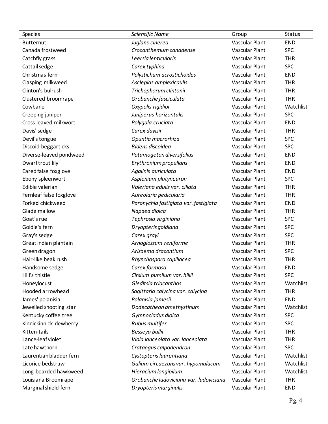| <b>Species</b>          | Scientific Name                        | Group                 | Status     |
|-------------------------|----------------------------------------|-----------------------|------------|
| <b>Butternut</b>        | Juglans cinerea                        | Vascular Plant        | <b>END</b> |
| Canada frostweed        | Crocanthemum canadense                 | Vascular Plant        | <b>SPC</b> |
| Catchfly grass          | Leersia lenticularis                   | <b>Vascular Plant</b> | <b>THR</b> |
| Cattail sedge           | Carex typhina                          | <b>Vascular Plant</b> | <b>SPC</b> |
| Christmas fern          | Polystichum acrostichoides             | Vascular Plant        | <b>END</b> |
| Clasping milkweed       | Asclepias amplexicaulis                | Vascular Plant        | <b>THR</b> |
| Clinton's bulrush       | Trichophorum clintonii                 | Vascular Plant        | <b>THR</b> |
| Clustered broomrape     | Orobanche fasciculata                  | Vascular Plant        | <b>THR</b> |
| Cowbane                 | Oxypolis rigidior                      | Vascular Plant        | Watchlist  |
| Creeping juniper        | Juniperus horizontalis                 | Vascular Plant        | <b>SPC</b> |
| Cross-leaved milkwort   | Polygala cruciata                      | Vascular Plant        | <b>END</b> |
| Davis' sedge            | Carex davisii                          | Vascular Plant        | <b>THR</b> |
| Devil's tongue          | Opuntia macrorhiza                     | Vascular Plant        | <b>SPC</b> |
| Discoid beggarticks     | Bidens discoidea                       | Vascular Plant        | <b>SPC</b> |
| Diverse-leaved pondweed | Potamogeton diversifolius              | <b>Vascular Plant</b> | <b>END</b> |
| Dwarftrout lily         | Erythronium propullans                 | <b>Vascular Plant</b> | <b>END</b> |
| Eared false foxglove    | Agalinis auriculata                    | Vascular Plant        | <b>END</b> |
| Ebony spleenwort        | Asplenium platyneuron                  | Vascular Plant        | <b>SPC</b> |
| Edible valerian         | Valeriana edulis var. ciliata          | Vascular Plant        | <b>THR</b> |
| Fernleaf false foxglove | Aureolaria pedicularia                 | Vascular Plant        | <b>THR</b> |
| Forked chickweed        | Paronychia fastigiata var. fastigiata  | Vascular Plant        | <b>END</b> |
| Glade mallow            | Napaea dioica                          | Vascular Plant        | <b>THR</b> |
| Goat's rue              | Tephrosia virginiana                   | Vascular Plant        | <b>SPC</b> |
| Goldie's fern           | Dryopteris goldiana                    | Vascular Plant        | <b>SPC</b> |
| Gray's sedge            | Carex grayi                            | Vascular Plant        | <b>SPC</b> |
| Great indian plantain   | Arnoglossum reniforme                  | Vascular Plant        | <b>THR</b> |
| Green dragon            | Arisaema dracontium                    | Vascular Plant        | <b>SPC</b> |
| Hair-like beak rush     | Rhynchospora capillacea                | Vascular Plant        | <b>THR</b> |
| Handsome sedge          | Carex formosa                          | Vascular Plant        | <b>END</b> |
| Hill's thistle          | Cirsium pumilum var. hillii            | Vascular Plant        | <b>SPC</b> |
| Honeylocust             | Gleditsia triacanthos                  | Vascular Plant        | Watchlist  |
| Hooded arrowhead        | Sagittaria calycina var. calycina      | Vascular Plant        | <b>THR</b> |
| James' polanisia        | Polanisia jamesii                      | Vascular Plant        | <b>END</b> |
| Jewelled shooting star  | Dodecatheon amethystinum               | Vascular Plant        | Watchlist  |
| Kentucky coffee tree    | Gymnocladus dioica                     | Vascular Plant        | <b>SPC</b> |
| Kinnickinnick dewberry  | Rubus multifer                         | Vascular Plant        | <b>SPC</b> |
| Kitten-tails            | Besseya bullii                         | Vascular Plant        | <b>THR</b> |
| Lance-leaf violet       | Viola lanceolata var. lanceolata       | Vascular Plant        | <b>THR</b> |
| Late hawthorn           | Crataegus calpodendron                 | Vascular Plant        | <b>SPC</b> |
| Laurentian bladder fern | Cystopteris laurentiana                | Vascular Plant        | Watchlist  |
| Licorice bedstraw       | Galium circaezans var. hypomalacum     | Vascular Plant        | Watchlist  |
| Long-bearded hawkweed   | Hieracium longipilum                   | Vascular Plant        | Watchlist  |
| Louisiana Broomrape     | Orobanche ludoviciana var. ludoviciana | Vascular Plant        | <b>THR</b> |
| Marginal shield fern    | Dryopteris marginalis                  | Vascular Plant        | <b>END</b> |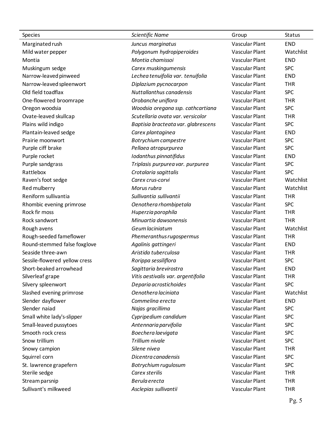| Species                       | Scientific Name                     | Group                 | Status     |
|-------------------------------|-------------------------------------|-----------------------|------------|
| Marginated rush               | Juncus marginatus                   | Vascular Plant        | <b>END</b> |
| Mild water pepper             | Polygonum hydropiperoides           | Vascular Plant        | Watchlist  |
| Montia                        | Montia chamissoi                    | Vascular Plant        | <b>END</b> |
| Muskingum sedge               | Carex muskingumensis                | Vascular Plant        | <b>SPC</b> |
| Narrow-leaved pinweed         | Lechea tenuifolia var. tenuifolia   | Vascular Plant        | <b>END</b> |
| Narrow-leaved spleenwort      | Diplazium pycnocarpon               | Vascular Plant        | <b>THR</b> |
| Old field toadflax            | Nuttallanthus canadensis            | Vascular Plant        | <b>SPC</b> |
| One-flowered broomrape        | Orobanche uniflora                  | Vascular Plant        | <b>THR</b> |
| Oregon woodsia                | Woodsia oregana ssp. cathcartiana   | Vascular Plant        | <b>SPC</b> |
| Ovate-leaved skullcap         | Scutellaria ovata var. versicolor   | Vascular Plant        | <b>THR</b> |
| Plains wild indigo            | Baptisia bracteata var. glabrescens | Vascular Plant        | <b>SPC</b> |
| Plantain-leaved sedge         | Carex plantaginea                   | Vascular Plant        | <b>END</b> |
| Prairie moonwort              | Botrychium campestre                | <b>Vascular Plant</b> | <b>SPC</b> |
| Purple ciff brake             | Pellaea atropurpurea                | Vascular Plant        | <b>SPC</b> |
| Purple rocket                 | Iodanthus pinnatifidus              | Vascular Plant        | <b>END</b> |
| Purple sandgrass              | Triplasis purpurea var. purpurea    | Vascular Plant        | <b>SPC</b> |
| Rattlebox                     | Crotalaria sagittalis               | Vascular Plant        | <b>SPC</b> |
| Raven's foot sedge            | Carex crus-corvi                    | Vascular Plant        | Watchlist  |
| Red mulberry                  | Morus rubra                         | Vascular Plant        | Watchlist  |
| Reniform sullivantia          | Sullivantia sullivantii             | Vascular Plant        | <b>THR</b> |
| Rhombic evening primrose      | Oenothera rhombipetala              | Vascular Plant        | <b>SPC</b> |
| Rock fir moss                 | Huperzia porophila                  | Vascular Plant        | <b>THR</b> |
| Rock sandwort                 | Minuartia dawsonensis               | Vascular Plant        | <b>THR</b> |
| Rough avens                   | Geum laciniatum                     | Vascular Plant        | Watchlist  |
| Rough-seeded fameflower       | Phemeranthus rugospermus            | Vascular Plant        | <b>THR</b> |
| Round-stemmed false foxglove  | Agalinis gattingeri                 | <b>Vascular Plant</b> | <b>END</b> |
| Seaside three-awn             | Aristida tuberculosa                | Vascular Plant        | <b>THR</b> |
| Sessile-flowered yellow cress | Rorippa sessiliflora                | <b>Vascular Plant</b> | <b>SPC</b> |
| Short-beaked arrowhead        | Sagittaria brevirostra              | Vascular Plant        | <b>END</b> |
| Silverleaf grape              | Vitis aestivalis var. argentifolia  | Vascular Plant        | <b>THR</b> |
| Silvery spleenwort            | Deparia acrostichoides              | Vascular Plant        | <b>SPC</b> |
| Slashed evening primrose      | Oenothera laciniata                 | Vascular Plant        | Watchlist  |
| Slender dayflower             | Commelina erecta                    | Vascular Plant        | <b>END</b> |
| Slender naiad                 | Najas gracillima                    | Vascular Plant        | <b>SPC</b> |
| Small white lady's-slipper    | Cypripedium candidum                | Vascular Plant        | <b>SPC</b> |
| Small-leaved pussytoes        | Antennaria parvifolia               | Vascular Plant        | <b>SPC</b> |
| Smooth rock cress             | Boechera laevigata                  | Vascular Plant        | <b>SPC</b> |
| Snow trillium                 | Trillium nivale                     | Vascular Plant        | <b>SPC</b> |
| Snowy campion                 | Silene nivea                        | Vascular Plant        | <b>THR</b> |
| Squirrel corn                 | Dicentra canadensis                 | Vascular Plant        | <b>SPC</b> |
| St. lawrence grapefern        | Botrychium rugulosum                | Vascular Plant        | <b>SPC</b> |
| Sterile sedge                 | Carex sterilis                      | Vascular Plant        | <b>THR</b> |
| Stream parsnip                | Berula erecta                       | Vascular Plant        | <b>THR</b> |
| Sullivant's milkweed          | Asclepias sullivantii               | Vascular Plant        | <b>THR</b> |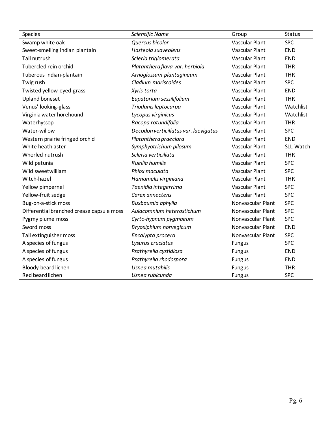| Species                                   | Scientific Name                       | Group                 | Status     |
|-------------------------------------------|---------------------------------------|-----------------------|------------|
| Swamp white oak                           | Quercus bicolor                       | Vascular Plant        | <b>SPC</b> |
| Sweet-smelling indian plantain            | Hasteola suaveolens                   | Vascular Plant        | <b>END</b> |
| <b>Tall nutrush</b>                       | Scleria triglomerata                  | Vascular Plant        | <b>END</b> |
| Tubercled rein orchid                     | Platanthera flava var. herbiola       | Vascular Plant        | <b>THR</b> |
| Tuberous indian-plantain                  | Arnoglossum plantagineum              | Vascular Plant        | <b>THR</b> |
| Twig rush                                 | Cladium mariscoides                   | Vascular Plant        | <b>SPC</b> |
| Twisted yellow-eyed grass                 | Xyris torta                           | Vascular Plant        | <b>END</b> |
| <b>Upland boneset</b>                     | Eupatorium sessilifolium              | Vascular Plant        | <b>THR</b> |
| Venus' looking-glass                      | Triodanis leptocarpa                  | <b>Vascular Plant</b> | Watchlist  |
| Virginia water horehound                  | Lycopus virginicus                    | Vascular Plant        | Watchlist  |
| Waterhyssop                               | Bacopa rotundifolia                   | Vascular Plant        | <b>THR</b> |
| Water-willow                              | Decodon verticillatus var. laevigatus | Vascular Plant        | <b>SPC</b> |
| Western prairie fringed orchid            | Platanthera praeclara                 | Vascular Plant        | <b>END</b> |
| White heath aster                         | Symphyotrichum pilosum                | Vascular Plant        | SLL-Watch  |
| Whorled nutrush                           | Scleria verticillata                  | Vascular Plant        | <b>THR</b> |
| Wild petunia                              | Ruellia humilis                       | Vascular Plant        | <b>SPC</b> |
| Wild sweetwilliam                         | Phlox maculata                        | Vascular Plant        | <b>SPC</b> |
| Witch-hazel                               | Hamamelis virginiana                  | Vascular Plant        | <b>THR</b> |
| Yellow pimpernel                          | Taenidia integerrima                  | Vascular Plant        | <b>SPC</b> |
| Yellow-fruit sedge                        | Carex annectens                       | Vascular Plant        | <b>SPC</b> |
| Bug-on-a-stick moss                       | Buxbaumia aphylla                     | Nonvascular Plant     | <b>SPC</b> |
| Differential branched crease capsule moss | Aulacomnium heterostichum             | Nonvascular Plant     | <b>SPC</b> |
| Pygmy plume moss                          | Cyrto-hypnum pygmaeum                 | Nonvascular Plant     | <b>SPC</b> |
| Sword moss                                | Bryoxiphium norvegicum                | Nonvascular Plant     | <b>END</b> |
| Tall extinguisher moss                    | Encalypta procera                     | Nonvascular Plant     | <b>SPC</b> |
| A species of fungus                       | Lysurus cruciatus                     | <b>Fungus</b>         | <b>SPC</b> |
| A species of fungus                       | Psathyrella cystidiosa                | <b>Fungus</b>         | <b>END</b> |
| A species of fungus                       | Psathyrella rhodospora                | <b>Fungus</b>         | <b>END</b> |
| Bloody beard lichen                       | Usnea mutabilis                       | <b>Fungus</b>         | <b>THR</b> |
| Red beard lichen                          | Usnea rubicunda                       | <b>Fungus</b>         | <b>SPC</b> |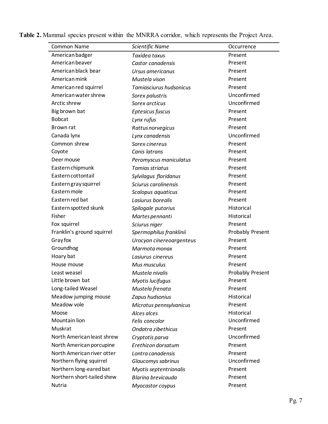| Common Name                | Scientific Name           | Occurrence              |
|----------------------------|---------------------------|-------------------------|
| American badger            | Taxidea taxus             | Present                 |
| American beaver            | Castor canadensis         | Present                 |
| American black bear        | Ursus americanus          | Present                 |
| American mink              | Mustela vison             | Present                 |
| American red squirrel      | Tamiasciurus hudsonicus   | Present                 |
| American water shrew       | Sorex palustris           | Unconfirmed             |
| Arctic shrew               | Sorex arcticus            | Unconfirmed             |
| Big brown bat              | Eptesicus fuscus          | Present                 |
| <b>Bobcat</b>              | Lynx rufus                | Present                 |
| Brown rat                  | Rattus norvegicus         | Present                 |
| Canada Iynx                | Lynx canadensis           | Unconfirmed             |
| Common shrew               | Sorex cinereus            | Present                 |
| Coyote                     | Canis latrans             | Present                 |
| Deer mouse                 | Peromyscus maniculatus    | Present                 |
| Eastern chipmunk           | Tamias striatus           | Present                 |
| Eastern cottontail         | Sylvilagus floridanus     | Present                 |
| Eastern gray squirrel      | Sciurus carolinensis      | Present                 |
| Eastern mole               | Scalopus aquaticus        | Present                 |
| Eastern red bat            | Lasiurus borealis         | Present                 |
| Eastern spotted skunk      | Spilogale putorius        | Historical              |
| Fisher                     | Martes pennanti           | Historical              |
| Fox squirrel               | Sciurus niger             | Present                 |
| Franklin's ground squirrel | Spermophilus franklinii   | <b>Probably Present</b> |
| <b>Gray fox</b>            | Urocyon cinereoargenteus  | Present                 |
| Groundhog                  | Marmota monax             | Present                 |
| Hoary bat                  | Lasiurus cinereus         | Present                 |
| House mouse                | Mus musculus              | Present                 |
| Least weasel               | Mustela nivalis           | Probably Present        |
| Little brown bat           | Myotis lucifugus          | Present                 |
| Long-tailed Weasel         | Mustela frenata           | Present                 |
| Meadow jumping mouse       | Zapus hudsonius           | Historical              |
| Meadow vole                | Microtus pennsylvanicus   | Present                 |
| Moose                      | Alces alces               | Historical              |
| Mountain lion              | Felis concolor            | Unconfirmed             |
| Muskrat                    | Ondatra zibethicus        | Present                 |
| North American least shrew | Cryptotis parva           | Unconfirmed             |
| North American porcupine   | Erethizon dorsatum        | Present                 |
| North American river otter | Lontra canadensis         | Present                 |
| Northern flying squirrel   | Glaucomys sabrinus        | Unconfirmed             |
| Northern long-eared bat    | Myotis septentrionalis    | Present                 |
| Northern short-tailed shew | <b>Blarina brevicauda</b> | Present                 |
| Nutria                     | Myocastor coypus          | Present                 |
|                            |                           |                         |

**Table 2.** Mammal species present within the MNRRA corridor, which represents the Project Area.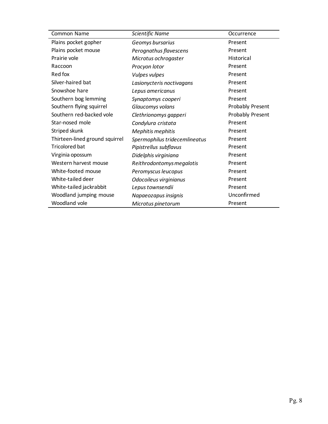| Common Name                    | Scientific Name               | Occurrence              |
|--------------------------------|-------------------------------|-------------------------|
| Plains pocket gopher           | Geomys bursarius              | Present                 |
| Plains pocket mouse            | Perognathus flavescens        | Present                 |
| Prairie vole                   | Microtus ochrogaster          | Historical              |
| Raccoon                        | Procyon lotor                 | Present                 |
| Red fox                        | <b>Vulpes vulpes</b>          | Present                 |
| Silver-haired bat              | Lasionycteris noctivagans     | Present                 |
| Snowshoe hare                  | Lepus americanus              | Present                 |
| Southern bog lemming           | Synaptomys cooperi            | Present                 |
| Southern flying squirrel       | Glaucomys volans              | <b>Probably Present</b> |
| Southern red-backed vole       | Clethrionomys gapperi         | <b>Probably Present</b> |
| Star-nosed mole                | Condylura cristata            | Present                 |
| Striped skunk                  | Mephitis mephitis             | Present                 |
| Thirteen-lined ground squirrel | Spermophilus tridecemlineatus | Present                 |
| <b>Tricolored bat</b>          | Pipistrellus subflavus        | Present                 |
| Virginia opossum               | Didelphis virginiana          | Present                 |
| Western harvest mouse          | Reithrodontomys megalotis     | Present                 |
| White-footed mouse             | Peromyscus leucopus           | Present                 |
| White-tailed deer              | Odocoileus virginianus        | Present                 |
| White-tailed jackrabbit        | Lepus townsendii              | Present                 |
| Woodland jumping mouse         | Napaeozapus insignis          | Unconfirmed             |
| Woodland vole                  | Microtus pinetorum            | Present                 |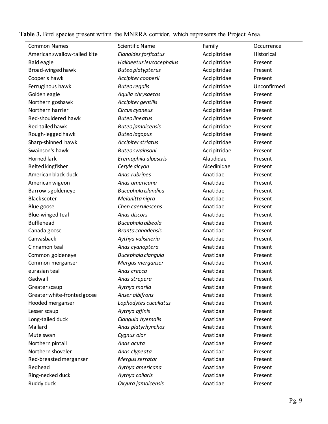| <b>Common Names</b>          | <b>Scientific Name</b>   | Family       | Occurrence  |
|------------------------------|--------------------------|--------------|-------------|
| American swallow-tailed kite | Elanoides forficatus     | Accipitridae | Historical  |
| <b>Bald eagle</b>            | Haliaeetus leucocephalus | Accipitridae | Present     |
| Broad-winged hawk            | <b>Buteo platypterus</b> | Accipitridae | Present     |
| Cooper's hawk                | Accipiter cooperii       | Accipitridae | Present     |
| Ferruginous hawk             | <b>Buteo regalis</b>     | Accipitridae | Unconfirmed |
| Golden eagle                 | Aquila chrysaetos        | Accipitridae | Present     |
| Northern goshawk             | Accipiter gentilis       | Accipitridae | Present     |
| Northern harrier             | Circus cyaneus           | Accipitridae | Present     |
| Red-shouldered hawk          | <b>Buteo lineatus</b>    | Accipitridae | Present     |
| Red-tailed hawk              | <b>Buteo jamaicensis</b> | Accipitridae | Present     |
| Rough-legged hawk            | <b>Buteo lagopus</b>     | Accipitridae | Present     |
| Sharp-shinned hawk           | Accipiter striatus       | Accipitridae | Present     |
| Swainson's hawk              | <b>Buteo swainsoni</b>   | Accipitridae | Present     |
| Horned lark                  | Eremophila alpestris     | Alaudidae    | Present     |
| <b>Belted kingfisher</b>     | Ceryle alcyon            | Alcedinidae  | Present     |
| American black duck          | Anas rubripes            | Anatidae     | Present     |
| American wigeon              | Anas americana           | Anatidae     | Present     |
| Barrow's goldeneye           | Bucephala islandica      | Anatidae     | Present     |
| <b>Black scoter</b>          | Melanitta nigra          | Anatidae     | Present     |
| Blue goose                   | Chen caerulescens        | Anatidae     | Present     |
| Blue-winged teal             | Anas discors             | Anatidae     | Present     |
| <b>Bufflehead</b>            | Bucephala albeola        | Anatidae     | Present     |
| Canada goose                 | Branta canadensis        | Anatidae     | Present     |
| Canvasback                   | Aythya valisineria       | Anatidae     | Present     |
| Cinnamon teal                | Anas cyanoptera          | Anatidae     | Present     |
| Common goldeneye             | Bucephala clangula       | Anatidae     | Present     |
| Common merganser             | Mergus merganser         | Anatidae     | Present     |
| eurasian teal                | Anas crecca              | Anatidae     | Present     |
| Gadwall                      | Anas strepera            | Anatidae     | Present     |
| Greater scaup                | Aythya marila            | Anatidae     | Present     |
| Greater white-fronted goose  | Anser albifrons          | Anatidae     | Present     |
| Hooded merganser             | Lophodytes cucullatus    | Anatidae     | Present     |
| Lesser scaup                 | Aythya affinis           | Anatidae     | Present     |
| Long-tailed duck             | Clangula hyemalis        | Anatidae     | Present     |
| Mallard                      | Anas platyrhynchos       | Anatidae     | Present     |
| Mute swan                    | Cygnus olor              | Anatidae     | Present     |
| Northern pintail             | Anas acuta               | Anatidae     | Present     |
| Northern shoveler            | Anas clypeata            | Anatidae     | Present     |
| Red-breasted merganser       | Mergus serrator          | Anatidae     | Present     |
| Redhead                      | Aythya americana         | Anatidae     | Present     |
| Ring-necked duck             | Aythya collaris          | Anatidae     | Present     |
| Ruddy duck                   | Oxyura jamaicensis       | Anatidae     | Present     |

**Table 3.** Bird species present within the MNRRA corridor, which represents the Project Area.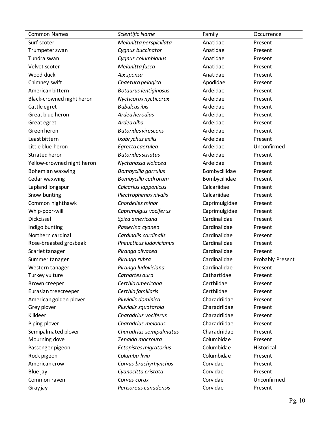| <b>Common Names</b>        | <b>Scientific Name</b>       | Family        | Occurrence       |
|----------------------------|------------------------------|---------------|------------------|
| Surf scoter                | Melanitta perspicillata      | Anatidae      | Present          |
| Trumpeter swan             | Cygnus buccinator            | Anatidae      | Present          |
| Tundra swan                | Cygnus columbianus           | Anatidae      | Present          |
| Velvet scoter              | Melanitta fusca              | Anatidae      | Present          |
| Wood duck                  | Aix sponsa                   | Anatidae      | Present          |
| Chimney swift              | Chaetura pelagica            | Apodidae      | Present          |
| American bittern           | <b>Botaurus lentiginosus</b> | Ardeidae      | Present          |
| Black-crowned night heron  | Nycticorax nycticorax        | Ardeidae      | Present          |
| Cattle egret               | <b>Bubulcus ibis</b>         | Ardeidae      | Present          |
| Great blue heron           | Ardea herodias               | Ardeidae      | Present          |
| Great egret                | Ardea alba                   | Ardeidae      | Present          |
| Green heron                | <b>Butorides virescens</b>   | Ardeidae      | Present          |
| Least bittern              | Ixobrychus exilis            | Ardeidae      | Present          |
| Little blue heron          | Egretta caerulea             | Ardeidae      | Unconfirmed      |
| Striated heron             | <b>Butorides striatus</b>    | Ardeidae      | Present          |
| Yellow-crowned night heron | Nyctanassa violacea          | Ardeidae      | Present          |
| Bohemian waxwing           | Bombycilla garrulus          | Bombycillidae | Present          |
| Cedar waxwing              | Bombycilla cedrorum          | Bombycillidae | Present          |
| Lapland longspur           | Calcarius Iapponicus         | Calcariidae   | Present          |
| Snow bunting               | Plectrophenax nivalis        | Calcariidae   | Present          |
| Common nighthawk           | Chordeiles minor             | Caprimulgidae | Present          |
| Whip-poor-will             | Caprimulgus vociferus        | Caprimulgidae | Present          |
| Dickcissel                 | Spiza americana              | Cardinalidae  | Present          |
| Indigo bunting             | Passerina cyanea             | Cardinalidae  | Present          |
| Northern cardinal          | Cardinalis cardinalis        | Cardinalidae  | Present          |
| Rose-breasted grosbeak     | Pheucticus Iudovicianus      | Cardinalidae  | Present          |
| Scarlet tanager            | Piranga olivacea             | Cardinalidae  | Present          |
| Summer tanager             | Piranga rubra                | Cardinalidae  | Probably Present |
| Western tanager            | Piranga ludoviciana          | Cardinalidae  | Present          |
| Turkey vulture             | Cathartes aura               | Cathartidae   | Present          |
| Brown creeper              | Certhia americana            | Certhiidae    | Present          |
| Eurasian treecreeper       | Certhia familiaris           | Certhiidae    | Present          |
| American golden plover     | Pluvialis dominica           | Charadriidae  | Present          |
| Grey plover                | Pluvialis squatarola         | Charadriidae  | Present          |
| Killdeer                   | Charadrius vociferus         | Charadriidae  | Present          |
| Piping plover              | Charadrius melodus           | Charadriidae  | Present          |
| Semipalmated plover        | Charadrius semipalmatus      | Charadriidae  | Present          |
| Mourning dove              | Zenaida macroura             | Columbidae    | Present          |
| Passenger pigeon           | Ectopistes migratorius       | Columbidae    | Historical       |
| Rock pigeon                | Columba livia                | Columbidae    | Present          |
| American crow              | Corvus brachyrhynchos        | Corvidae      | Present          |
| Blue jay                   | Cyanocitta cristata          | Corvidae      | Present          |
| Common raven               | Corvus corax                 | Corvidae      | Unconfirmed      |
| Gray jay                   | Perisoreus canadensis        | Corvidae      | Present          |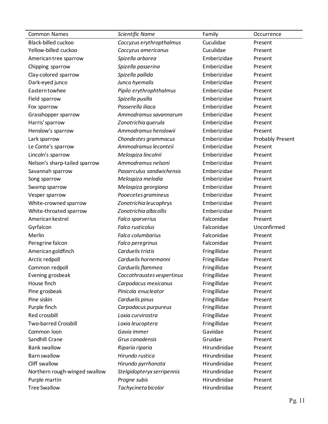| <b>Common Names</b>           | Scientific Name            | Family       | Occurrence       |
|-------------------------------|----------------------------|--------------|------------------|
| Black-billed cuckoo           | Coccyzus erythropthalmus   | Cuculidae    | Present          |
| Yellow-billed cuckoo          | Coccyzus americanus        | Cuculidae    | Present          |
| American tree sparrow         | Spizella arborea           | Emberizidae  | Present          |
| Chipping sparrow              | Spizella passerina         | Emberizidae  | Present          |
| Clay-colored sparrow          | Spizella pallida           | Emberizidae  | Present          |
| Dark-eyed junco               | Junco hyemalis             | Emberizidae  | Present          |
| <b>Eastern towhee</b>         | Pipilo erythrophthalmus    | Emberizidae  | Present          |
| Field sparrow                 | Spizella pusilla           | Emberizidae  | Present          |
| Fox sparrow                   | Passerella iliaca          | Emberizidae  | Present          |
| Grasshopper sparrow           | Ammodramus savannarum      | Emberizidae  | Present          |
| Harris' sparrow               | Zonotrichia querula        | Emberizidae  | Present          |
| Henslow's sparrow             | Ammodramus henslowii       | Emberizidae  | Present          |
| Lark sparrow                  | Chondestes grammacus       | Emberizidae  | Probably Present |
| Le Conte's sparrow            | Ammodramus leconteii       | Emberizidae  | Present          |
| Lincoln's sparrow             | Melospiza lincolnii        | Emberizidae  | Present          |
| Nelson's sharp-tailed sparrow | Ammodramus nelsoni         | Emberizidae  | Present          |
| Savannah sparrow              | Passerculus sandwichensis  | Emberizidae  | Present          |
| Song sparrow                  | Melospiza melodia          | Emberizidae  | Present          |
| Swamp sparrow                 | Melospiza georgiana        | Emberizidae  | Present          |
| Vesper sparrow                | Pooecetes gramineus        | Emberizidae  | Present          |
| White-crowned sparrow         | Zonotrichia leucophrys     | Emberizidae  | Present          |
| White-throated sparrow        | Zonotrichia albicollis     | Emberizidae  | Present          |
| American kestrel              | Falco sparverius           | Falconidae   | Present          |
| Gyrfalcon                     | Falco rusticolus           | Falconidae   | Unconfirmed      |
| Merlin                        | Falco columbarius          | Falconidae   | Present          |
| Peregrine falcon              | Falco peregrinus           | Falconidae   | Present          |
| American goldfinch            | Carduelis tristis          | Fringillidae | Present          |
| Arctic redpoll                | Carduelis hornemanni       | Fringillidae | Present          |
| Common redpoll                | Carduelis flammea          | Fringillidae | Present          |
| Evening grosbeak              | Coccothraustes vespertinus | Fringillidae | Present          |
| House finch                   | Carpodacus mexicanus       | Fringillidae | Present          |
| Pine grosbeak                 | Pinicola enucleator        | Fringillidae | Present          |
| Pine siskin                   | Carduelis pinus            | Fringillidae | Present          |
| Purple finch                  | Carpodacus purpureus       | Fringillidae | Present          |
| Red crossbill                 | Loxia curvirostra          | Fringillidae | Present          |
| <b>Two-barred Crossbill</b>   | Loxia leucoptera           | Fringillidae | Present          |
| Common loon                   | Gavia immer                | Gaviidae     | Present          |
| Sandhill Crane                | Grus canadensis            | Gruidae      | Present          |
| <b>Bank swallow</b>           | Riparia riparia            | Hirundinidae | Present          |
| <b>Barn swallow</b>           | Hirundo rustica            | Hirundinidae | Present          |
| Cliff swallow                 | Hirundo pyrrhonota         | Hirundinidae | Present          |
| Northern rough-winged swallow | Stelgidopteryx serripennis | Hirundinidae | Present          |
| Purple martin                 | Progne subis               | Hirundinidae | Present          |
| <b>Tree Swallow</b>           | Tachycineta bicolor        | Hirundinidae | Present          |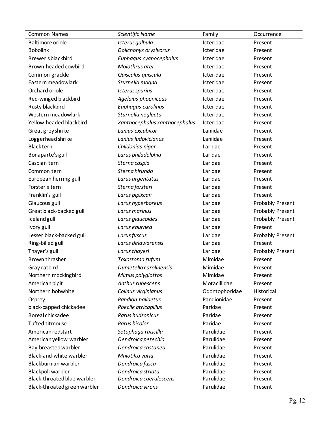| <b>Common Names</b>          | <b>Scientific Name</b>        | Family         | Occurrence              |
|------------------------------|-------------------------------|----------------|-------------------------|
| <b>Baltimore oriole</b>      | Icterus galbula               | Icteridae      | Present                 |
| <b>Bobolink</b>              | Dolichonyx oryzivorus         | Icteridae      | Present                 |
| Brewer's blackbird           | Euphagus cyanocephalus        | Icteridae      | Present                 |
| Brown-headed cowbird         | Molothrus ater                | Icteridae      | Present                 |
| Common grackle               | Quiscalus quiscula            | Icteridae      | Present                 |
| Eastern meadowlark           | Sturnella magna               | Icteridae      | Present                 |
| Orchard oriole               | Icterus spurius               | Icteridae      | Present                 |
| Red-winged blackbird         | Agelaius phoeniceus           | Icteridae      | Present                 |
| Rusty blackbird              | Euphagus carolinus            | Icteridae      | Present                 |
| Western meadowlark           | Sturnella neglecta            | Icteridae      | Present                 |
| Yellow-headed blackbird      | Xanthocephalus xanthocephalus | Icteridae      | Present                 |
| Great grey shrike            | Lanius excubitor              | Laniidae       | Present                 |
| Loggerhead shrike            | Lanius ludovicianus           | Laniidae       | Present                 |
| <b>Blacktern</b>             | Chlidonias niger              | Laridae        | Present                 |
| Bonaparte's gull             | Larus philadelphia            | Laridae        | Present                 |
| Caspian tern                 | Sterna caspia                 | Laridae        | Present                 |
| Common tern                  | Sterna hirundo                | Laridae        | Present                 |
| European herring gull        | Larus argentatus              | Laridae        | Present                 |
| Forster's tern               | Sterna forsteri               | Laridae        | Present                 |
| Franklin's gull              | Larus pipixcan                | Laridae        | Present                 |
| Glaucous gull                | Larus hyperboreus             | Laridae        | Probably Present        |
| Great black-backed gull      | Larus marinus                 | Laridae        | <b>Probably Present</b> |
| Iceland gull                 | Larus glaucoides              | Laridae        | Probably Present        |
| Ivory gull                   | Larus eburnea                 | Laridae        | Present                 |
| Lesser black-backed gull     | Larus fuscus                  | Laridae        | Probably Present        |
| Ring-billed gull             | Larus delawarensis            | Laridae        | Present                 |
| Thayer's gull                | Larus thayeri                 | Laridae        | <b>Probably Present</b> |
| Brown thrasher               | Toxostoma rufum               | Mimidae        | Present                 |
| Gray catbird                 | Dumetella carolinensis        | Mimidae        | Present                 |
| Northern mockingbird         | Mimus polyglottos             | Mimidae        | Present                 |
| American pipit               | Anthus rubescens              | Motacillidae   | Present                 |
| Northern bobwhite            | Colinus virginianus           | Odontophoridae | Historical              |
| Osprey                       | Pandion haliaetus             | Pandionidae    | Present                 |
| black-capped chickadee       | Poecile atricapillus          | Paridae        | Present                 |
| Boreal chickadee             | Parus hudsonicus              | Paridae        | Present                 |
| Tufted titmouse              | Parus bicolor                 | Paridae        | Present                 |
| American redstart            | Setophaga ruticilla           | Parulidae      | Present                 |
| American yellow warbler      | Dendroica petechia            | Parulidae      | Present                 |
| Bay-breasted warbler         | Dendroica castanea            | Parulidae      | Present                 |
| Black-and-white warbler      | Mniotilta varia               | Parulidae      | Present                 |
| Blackburnian warbler         | Dendroica fusca               | Parulidae      | Present                 |
| <b>Blackpoll warbler</b>     | Dendroica striata             | Parulidae      | Present                 |
| Black-throated blue warbler  | Dendroica caerulescens        | Parulidae      | Present                 |
| Black-throated green warbler | Dendroica virens              | Parulidae      | Present                 |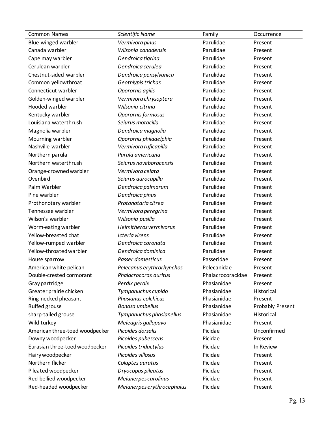| <b>Common Names</b>            | Scientific Name            | Family            | Occurrence              |
|--------------------------------|----------------------------|-------------------|-------------------------|
| Blue-winged warbler            | Vermivora pinus            | Parulidae         | Present                 |
| Canada warbler                 | Wilsonia canadensis        | Parulidae         | Present                 |
| Cape may warbler               | Dendroica tigrina          | Parulidae         | Present                 |
| Cerulean warbler               | Dendroica cerulea          | Parulidae         | Present                 |
| Chestnut-sided warbler         | Dendroica pensylvanica     | Parulidae         | Present                 |
| Common yellowthroat            | Geothlypis trichas         | Parulidae         | Present                 |
| Connecticut warbler            | Oporornis agilis           | Parulidae         | Present                 |
| Golden-winged warbler          | Vermivora chrysoptera      | Parulidae         | Present                 |
| Hooded warbler                 | Wilsonia citrina           | Parulidae         | Present                 |
| Kentucky warbler               | Oporornis formosus         | Parulidae         | Present                 |
| Louisiana waterthrush          | Seiurus motacilla          | Parulidae         | Present                 |
| Magnolia warbler               | Dendroica magnolia         | Parulidae         | Present                 |
| Mourning warbler               | Oporornis philadelphia     | Parulidae         | Present                 |
| Nashville warbler              | Vermivora ruficapilla      | Parulidae         | Present                 |
| Northern parula                | Parula americana           | Parulidae         | Present                 |
| Northern waterthrush           | Seiurus noveboracensis     | Parulidae         | Present                 |
| Orange-crowned warbler         | Vermivora celata           | Parulidae         | Present                 |
| Ovenbird                       | Seiurus aurocapilla        | Parulidae         | Present                 |
| Palm Warbler                   | Dendroica palmarum         | Parulidae         | Present                 |
| Pine warbler                   | Dendroica pinus            | Parulidae         | Present                 |
| Prothonotary warbler           | Protonotaria citrea        | Parulidae         | Present                 |
| Tennessee warbler              | Vermivora peregrina        | Parulidae         | Present                 |
| Wilson's warbler               | Wilsonia pusilla           | Parulidae         | Present                 |
| Worm-eating warbler            | Helmitheros vermivorus     | Parulidae         | Present                 |
| Yellow-breasted chat           | Icteria virens             | Parulidae         | Present                 |
| Yellow-rumped warbler          | Dendroica coronata         | Parulidae         | Present                 |
| Yellow-throated warbler        | Dendroica dominica         | Parulidae         | Present                 |
| House sparrow                  | Passer domesticus          | Passeridae        | Present                 |
| American white pelican         | Pelecanus erythrorhynchos  | Pelecanidae       | Present                 |
| Double-crested cormorant       | Phalacrocorax auritus      | Phalacrocoracidae | Present                 |
| Gray partridge                 | Perdix perdix              | Phasianidae       | Present                 |
| Greater prairie chicken        | Tympanuchus cupido         | Phasianidae       | Historical              |
| Ring-necked pheasant           | Phasianus colchicus        | Phasianidae       | Present                 |
| Ruffed grouse                  | Bonasa umbellus            | Phasianidae       | <b>Probably Present</b> |
| sharp-tailed grouse            | Tympanuchus phasianellus   | Phasianidae       | Historical              |
| Wild turkey                    | Meleagris gallopavo        | Phasianidae       | Present                 |
| American three-toed woodpecker | Picoides dorsalis          | Picidae           | Unconfirmed             |
| Downy woodpecker               | Picoides pubescens         | Picidae           | Present                 |
| Eurasian three-toed woodpecker | Picoides tridactylus       | Picidae           | In Review               |
| Hairy woodpecker               | Picoides villosus          | Picidae           | Present                 |
| Northern flicker               | Colaptes auratus           | Picidae           | Present                 |
| Pileated woodpecker            | Dryocopus pileatus         | Picidae           | Present                 |
| Red-bellied woodpecker         | Melanerpes carolinus       | Picidae           | Present                 |
| Red-headed woodpecker          | Melanerpes erythrocephalus | Picidae           | Present                 |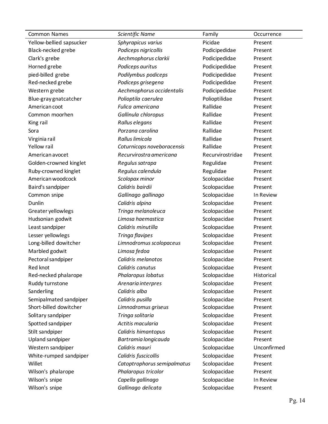| <b>Common Names</b>      | Scientific Name             | Family           | Occurrence  |
|--------------------------|-----------------------------|------------------|-------------|
| Yellow-bellied sapsucker | Sphyrapicus varius          | Picidae          | Present     |
| Black-necked grebe       | Podiceps nigricollis        | Podicipedidae    | Present     |
| Clark's grebe            | Aechmophorus clarkii        | Podicipedidae    | Present     |
| Horned grebe             | Podiceps auritus            | Podicipedidae    | Present     |
| pied-billed grebe        | Podilymbus podiceps         | Podicipedidae    | Present     |
| Red-necked grebe         | Podiceps grisegena          | Podicipedidae    | Present     |
| Western grebe            | Aechmophorus occidentalis   | Podicipedidae    | Present     |
| Blue-gray gnatcatcher    | Polioptila caerulea         | Polioptilidae    | Present     |
| American coot            | Fulica americana            | Rallidae         | Present     |
| Common moorhen           | Gallinula chloropus         | Rallidae         | Present     |
| King rail                | Rallus elegans              | Rallidae         | Present     |
| Sora                     | Porzana carolina            | Rallidae         | Present     |
| Virginia rail            | Rallus limicola             | Rallidae         | Present     |
| Yellow rail              | Coturnicops noveboracensis  | Rallidae         | Present     |
| American avocet          | Recurvirostra americana     | Recurvirostridae | Present     |
| Golden-crowned kinglet   | Regulus satrapa             | Regulidae        | Present     |
| Ruby-crowned kinglet     | Regulus calendula           | Regulidae        | Present     |
| American woodcock        | Scolopax minor              | Scolopacidae     | Present     |
| Baird's sandpiper        | Calidris bairdii            | Scolopacidae     | Present     |
| Common snipe             | Gallinago gallinago         | Scolopacidae     | In Review   |
| Dunlin                   | Calidris alpina             | Scolopacidae     | Present     |
| Greater yellowlegs       | Tringa melanoleuca          | Scolopacidae     | Present     |
| Hudsonian godwit         | Limosa haemastica           | Scolopacidae     | Present     |
| Least sandpiper          | Calidris minutilla          | Scolopacidae     | Present     |
| Lesser yellowlegs        | Tringa flavipes             | Scolopacidae     | Present     |
| Long-billed dowitcher    | Limnodromus scolopaceus     | Scolopacidae     | Present     |
| Marbled godwit           | Limosa fedoa                | Scolopacidae     | Present     |
| Pectoral sandpiper       | Calidris melanotos          | Scolopacidae     | Present     |
| Red knot                 | Calidris canutus            | Scolopacidae     | Present     |
| Red-necked phalarope     | Phalaropus lobatus          | Scolopacidae     | Historical  |
| Ruddy turnstone          | Arenaria interpres          | Scolopacidae     | Present     |
| Sanderling               | Calidris alba               | Scolopacidae     | Present     |
| Semipalmated sandpiper   | Calidris pusilla            | Scolopacidae     | Present     |
| Short-billed dowitcher   | Limnodromus griseus         | Scolopacidae     | Present     |
| Solitary sandpiper       | Tringa solitaria            | Scolopacidae     | Present     |
| Spotted sandpiper        | Actitis macularia           | Scolopacidae     | Present     |
| Stilt sandpiper          | Calidris himantopus         | Scolopacidae     | Present     |
| <b>Upland sandpiper</b>  | Bartramia longicauda        | Scolopacidae     | Present     |
| Western sandpiper        | Calidris mauri              | Scolopacidae     | Unconfirmed |
| White-rumped sandpiper   | Calidris fuscicollis        | Scolopacidae     | Present     |
| Willet                   | Catoptrophorus semipalmatus | Scolopacidae     | Present     |
| Wilson's phalarope       | Phalaropus tricolor         | Scolopacidae     | Present     |
| Wilson's snipe           | Capella gallinago           | Scolopacidae     | In Review   |
| Wilson's snipe           | Gallinago delicata          | Scolopacidae     | Present     |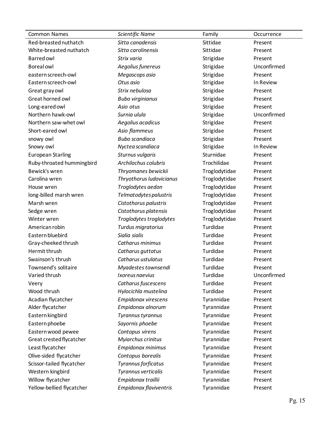| <b>Common Names</b>       | Scientific Name          | Family        | Occurrence  |
|---------------------------|--------------------------|---------------|-------------|
| Red-breasted nuthatch     | Sitta canadensis         | Sittidae      | Present     |
| White-breasted nuthatch   | Sitta carolinensis       | Sittidae      | Present     |
| <b>Barred</b> owl         | Strix varia              | Strigidae     | Present     |
| <b>Boreal</b> owl         | Aegolius funereus        | Strigidae     | Unconfirmed |
| eastern screech-owl       | Megascops asio           | Strigidae     | Present     |
| Eastern screech-owl       | Otus asio                | Strigidae     | In Review   |
| Great gray owl            | Strix nebulosa           | Strigidae     | Present     |
| Great horned owl          | <b>Bubo virginianus</b>  | Strigidae     | Present     |
| Long-eared owl            | Asio otus                | Strigidae     | Present     |
| Northern hawk-owl         | Surnia ulula             | Strigidae     | Unconfirmed |
| Northern saw-whet owl     | Aegolius acadicus        | Strigidae     | Present     |
| Short-eared owl           | Asio flammeus            | Strigidae     | Present     |
| snowy owl                 | <b>Bubo scandiaca</b>    | Strigidae     | Present     |
| Snowy owl                 | Nyctea scandiaca         | Strigidae     | In Review   |
| <b>European Starling</b>  | Sturnus vulgaris         | Sturnidae     | Present     |
| Ruby-throated hummingbird | Archilochus colubris     | Trochilidae   | Present     |
| Bewick's wren             | Thryomanes bewickii      | Troglodytidae | Present     |
| Carolina wren             | Thryothorus ludovicianus | Troglodytidae | Present     |
| House wren                | Troglodytes aedon        | Troglodytidae | Present     |
| long-billed marsh wren    | Telmatodytes palustris   | Troglodytidae | Present     |
| Marsh wren                | Cistothorus palustris    | Troglodytidae | Present     |
| Sedge wren                | Cistothorus platensis    | Troglodytidae | Present     |
| Winter wren               | Troglodytes troglodytes  | Troglodytidae | Present     |
| American robin            | Turdus migratorius       | Turdidae      | Present     |
| Eastern bluebird          | Sialia sialis            | Turdidae      | Present     |
| Gray-cheeked thrush       | Catharus minimus         | Turdidae      | Present     |
| Hermit thrush             | Catharus guttatus        | Turdidae      | Present     |
| Swainson's thrush         | Catharus ustulatus       | Turdidae      | Present     |
| Townsend's solitaire      | Myadestes townsendi      | Turdidae      | Present     |
| Varied thrush             | Ixoreus naevius          | Turdidae      | Unconfirmed |
| Veery                     | Catharus fuscescens      | Turdidae      | Present     |
| Wood thrush               | Hylocichla mustelina     | Turdidae      | Present     |
| Acadian flycatcher        | Empidonax virescens      | Tyrannidae    | Present     |
| Alder flycatcher          | Empidonax alnorum        | Tyrannidae    | Present     |
| Eastern kingbird          | Tyrannus tyrannus        | Tyrannidae    | Present     |
| Eastern phoebe            | Sayornis phoebe          | Tyrannidae    | Present     |
| Eastern wood pewee        | Contopus virens          | Tyrannidae    | Present     |
| Great crested flycatcher  | Myiarchus crinitus       | Tyrannidae    | Present     |
| Least flycatcher          | Empidonax minimus        | Tyrannidae    | Present     |
| Olive-sided flycatcher    | Contopus borealis        | Tyrannidae    | Present     |
| Scissor-tailed flycatcher | Tyrannus forficatus      | Tyrannidae    | Present     |
| Western kingbird          | Tyrannus verticalis      | Tyrannidae    | Present     |
| Willow flycatcher         | Empidonax traillii       | Tyrannidae    | Present     |
| Yellow-bellied flycatcher | Empidonax flaviventris   | Tyrannidae    | Present     |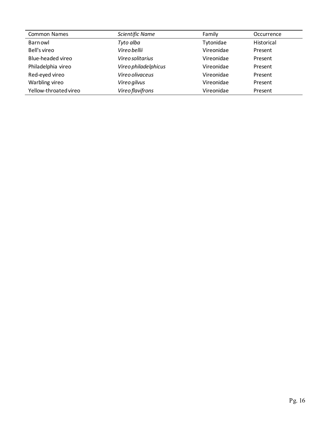| <b>Common Names</b>   | Scientific Name      | Family     | Occurrence |
|-----------------------|----------------------|------------|------------|
| Barn owl              | Tyto alba            | Tytonidae  | Historical |
| Bell's vireo          | Vireo bellii         | Vireonidae | Present    |
| Blue-headed vireo     | Vireo solitarius     | Vireonidae | Present    |
| Philadelphia vireo    | Vireo philadelphicus | Vireonidae | Present    |
| Red-eyed vireo        | Vireo olivaceus      | Vireonidae | Present    |
| Warbling vireo        | Vireo gilvus         | Vireonidae | Present    |
| Yellow-throated vireo | Vireo flavifrons     | Vireonidae | Present    |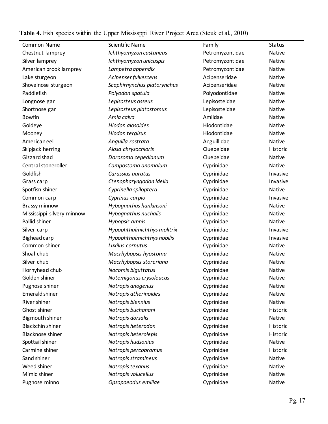| Common Name                | <b>Scientific Name</b>      | Family          | <b>Status</b> |
|----------------------------|-----------------------------|-----------------|---------------|
| Chestnut lamprey           | Ichthyomyzon castaneus      | Petromyzontidae | <b>Native</b> |
| Silver lamprey             | Ichthyomyzon unicuspis      | Petromyzontidae | Native        |
| American brook lamprey     | Lampetra appendix           | Petromyzontidae | Native        |
| Lake sturgeon              | Acipenser fulvescens        | Acipenseridae   | Native        |
| Shovelnose sturgeon        | Scaphirhynchus platorynchus | Acipenseridae   | <b>Native</b> |
| Paddlefish                 | Polyodon spatula            | Polyodontidae   | Native        |
| Longnose gar               | Lepisosteus osseus          | Lepisosteidae   | Native        |
| Shortnose gar              | Lepisosteus platostomus     | Lepisosteidae   | Native        |
| <b>Bowfin</b>              | Amia calva                  | Amiidae         | <b>Native</b> |
| Goldeye                    | Hiodon alosoides            | Hiodontidae     | Native        |
| Mooney                     | Hiodon tergisus             | Hiodontidae     | Native        |
| American eel               | Anguilla rostrata           | Anguillidae     | Native        |
| Skipjack herring           | Alosa chrysochloris         | Cluepeidae      | Historic      |
| Gizzard shad               | Dorosoma cepedianum         | Cluepeidae      | Native        |
| Central stoneroller        | Campostoma anomalum         | Cyprinidae      | Native        |
| Goldfish                   | Carassius auratus           | Cyprinidae      | Invasive      |
| Grass carp                 | Ctenopharyngodon idella     | Cyprinidae      | Invasive      |
| Spotfisn shiner            | Cyprinella spiloptera       | Cyprinidae      | Native        |
| Common carp                | Cyprinus carpio             | Cyprinidae      | Invasive      |
| <b>Brassy minnow</b>       | Hybognathus hankinsoni      | Cyprinidae      | Native        |
| Mississippi silvery minnow | Hybognathus nuchalis        | Cyprinidae      | Native        |
| Pallid shiner              | Hybopsis amnis              | Cyprinidae      | Native        |
| Silver carp                | Hypophthalmichthys molitrix | Cyprinidae      | Invasive      |
| Bighead carp               | Hypophthalmichthys nobilis  | Cyprinidae      | Invasive      |
| Common shiner              | Luxilus cornutus            | Cyprinidae      | Native        |
| Shoal chub                 | Macrhybopsis hyostoma       | Cyprinidae      | Native        |
| Silver chub                | Macrhybopsis storeriana     | Cyprinidae      | Native        |
| Hornyhead chub             | Nocomis biguttatus          | Cyprinidae      | Native        |
| Golden shiner              | Notemigonus crysoleucas     | Cyprinidae      | Native        |
| Pugnose shiner             | Notropis anogenus           | Cyprinidae      | <b>Native</b> |
| <b>Emerald shiner</b>      | Notropis atherinoides       | Cyprinidae      | Native        |
| River shiner               | Notropis blennius           | Cyprinidae      | <b>Native</b> |
| Ghost shiner               | Notropis buchanani          | Cyprinidae      | Historic      |
| <b>Bigmouth shiner</b>     | Notropis dorsalis           | Cyprinidae      | Native        |
| <b>Blackchin shiner</b>    | Notropis heterodon          | Cyprinidae      | Historic      |
| <b>Blacknose shiner</b>    | Notropis heterolepis        | Cyprinidae      | Historic      |
| Spottail shiner            | Notropis hudsonius          | Cyprinidae      | Native        |
| Carmine shiner             | Notropis percobromus        | Cyprinidae      | Historic      |
| Sand shiner                | Notropis stramineus         | Cyprinidae      | Native        |
| Weed shiner                | Notropis texanus            | Cyprinidae      | Native        |
| Mimic shiner               | Notropis volucellus         | Cyprinidae      | Native        |
| Pugnose minno              | Opsopoeodus emiliae         | Cyprinidae      | Native        |

**Table 4.** Fish species within the Upper Mississppi River Project Area (Steuk et al., 2010)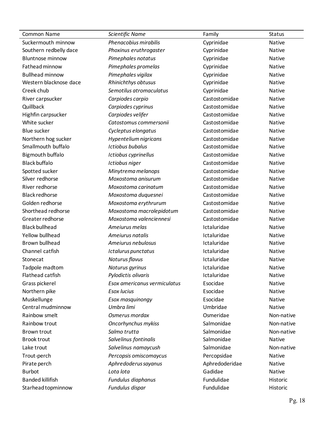| Common Name             | Scientific Name              | Family         | <b>Status</b> |
|-------------------------|------------------------------|----------------|---------------|
| Suckermouth minnow      | Phenacobius mirabilis        | Cyprinidae     | Native        |
| Southern redbelly dace  | Phoxinus eruthrogaster       | Cyprinidae     | Native        |
| <b>Bluntnose minnow</b> | Pimephales notatus           | Cyprinidae     | Native        |
| Fathead minnow          | Pimephales promelas          | Cyprinidae     | Native        |
| <b>Bullhead minnow</b>  | Pimephales vigilax           | Cyprinidae     | Native        |
| Western blacknose dace  | Rhinichthys obtusus          | Cyprinidae     | Native        |
| Creek chub              | Semotilus atromaculatus      | Cyprinidae     | Native        |
| River carpsucker        | Carpiodes carpio             | Castostomidae  | Native        |
| Quillback               | Carpiodes cyprinus           | Castostomidae  | Native        |
| Highfin carpsucker      | Carpiodes velifer            | Castostomidae  | Native        |
| White sucker            | Catostomus commersonii       | Castostomidae  | Native        |
| <b>Blue sucker</b>      | Cycleptus elongatus          | Castostomidae  | Native        |
| Northern hog sucker     | Hypentelium nigricans        | Castostomidae  | Native        |
| Smallmouth buffalo      | <b>Ictiobus bubalus</b>      | Castostomidae  | Native        |
| Bigmouth buffalo        | Ictiobus cyprinellus         | Castostomidae  | Native        |
| <b>Black buffalo</b>    | Ictiobus niger               | Castostomidae  | Native        |
| Spotted sucker          | Minytrema melanops           | Castostomidae  | Native        |
| Silver redhorse         | Moxostoma anisurum           | Castostomidae  | Native        |
| River redhorse          | Moxostoma carinatum          | Castostomidae  | Native        |
| <b>Black redhorse</b>   | Moxostoma duquesnei          | Castostomidae  | Native        |
| Golden redhorse         | Moxostoma erythrurum         | Castostomidae  | Native        |
| Shorthead redhorse      | Moxostoma macrolepidotum     | Castostomidae  | Native        |
| Greater redhorse        | Moxostoma valenciennesi      | Castostomidae  | Native        |
| <b>Black bullhead</b>   | Ameiurus melas               | Ictaluridae    | Native        |
| Yellow bullhead         | Ameiurus natalis             | Ictaluridae    | Native        |
| Brown bullhead          | Ameiurus nebulosus           | Ictaluridae    | Native        |
| Channel catfish         | Ictalurus punctatus          | Ictaluridae    | Native        |
| Stonecat                | Noturus flavus               | Ictaluridae    | Native        |
| Tadpole madtom          | Noturus gyrinus              | Ictaluridae    | Native        |
| Flathead catfish        | Pylodictis olivaris          | Ictaluridae    | Native        |
| Grass pickerel          | Esox americanus vermiculatus | Esocidae       | Native        |
| Northern pike           | <b>Esox lucius</b>           | Esocidae       | Native        |
| Muskellunge             | Esox masquinongy             | Esocidae       | <b>Native</b> |
| Central mudminnow       | Umbra limi                   | Umbridae       | Native        |
| Rainbow smelt           | Osmerus mordax               | Osmeridae      | Non-native    |
| Rainbow trout           | Oncorhynchus mykiss          | Salmonidae     | Non-native    |
| Brown trout             | Salmo trutta                 | Salmonidae     | Non-native    |
| <b>Brook trout</b>      | Salvelinus fontinalis        | Salmonidae     | Native        |
| Lake trout              | Salvelinus namaycush         | Salmonidae     | Non-native    |
| Trout-perch             | Percopsis omiscomaycus       | Percopsidae    | Native        |
| Pirate perch            | Aphredoderus sayanus         | Aphredoderidae | Native        |
| <b>Burbot</b>           | Lota lota                    | Gadidae        | Native        |
| <b>Banded killifish</b> | Fundulus diaphanus           | Fundulidae     | Historic      |
| Starhead topminnow      | Fundulus dispar              | Fundulidae     | Historic      |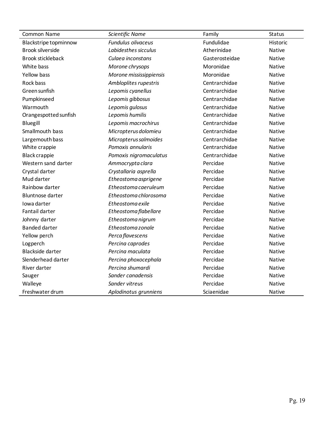| Common Name              | Scientific Name           | Family         | <b>Status</b>   |
|--------------------------|---------------------------|----------------|-----------------|
| Blackstripe topminnow    | <b>Fundulus olivaceus</b> | Fundulidae     | <b>Historic</b> |
| <b>Brook silverside</b>  | Labidesthes sicculus      | Atherinidae    | Native          |
| <b>Brook stickleback</b> | Culaea inconstans         | Gasterosteidae | Native          |
| White bass               | Morone chrysops           | Moronidae      | Native          |
| <b>Yellow bass</b>       | Morone mississippiensis   | Moronidae      | Native          |
| Rock bass                | Ambloplites rupestris     | Centrarchidae  | Native          |
| Green sunfish            | Lepomis cyanellus         | Centrarchidae  | Native          |
| Pumpkinseed              | Lepomis gibbosus          | Centrarchidae  | Native          |
| Warmouth                 | Lepomis gulosus           | Centrarchidae  | Native          |
| Orangespotted sunfish    | Lepomis humilis           | Centrarchidae  | Native          |
| <b>Bluegill</b>          | Lepomis macrochirus       | Centrarchidae  | Native          |
| Smallmouth bass          | Micropterus dolomieu      | Centrarchidae  | Native          |
| Largemouth bass          | Micropterus salmoides     | Centrarchidae  | Native          |
| White crappie            | Pomoxis annularis         | Centrarchidae  | Native          |
| <b>Black crappie</b>     | Pomoxis nigromaculatus    | Centrarchidae  | Native          |
| Western sand darter      | Ammocrypta clara          | Percidae       | Native          |
| Crystal darter           | Crystallaria asprella     | Percidae       | Native          |
| Mud darter               | Etheostoma asprigene      | Percidae       | Native          |
| Rainbow darter           | Etheostoma caeruleum      | Percidae       | Native          |
| <b>Bluntnose darter</b>  | Etheostoma chlorosoma     | Percidae       | Native          |
| Iowa darter              | Etheostoma exile          | Percidae       | Native          |
| Fantail darter           | Etheostoma flabellare     | Percidae       | Native          |
| Johnny darter            | Etheostoma nigrum         | Percidae       | Native          |
| <b>Banded darter</b>     | Etheostoma zonale         | Percidae       | Native          |
| Yellow perch             | Perca flavescens          | Percidae       | Native          |
| Logperch                 | Percina caprodes          | Percidae       | Native          |
| <b>Blackside darter</b>  | Percina maculata          | Percidae       | Native          |
| Slenderhead darter       | Percina phoxocephala      | Percidae       | Native          |
| River darter             | Percina shumardi          | Percidae       | <b>Native</b>   |
| Sauger                   | Sander canadensis         | Percidae       | Native          |
| Walleye                  | Sander vitreus            | Percidae       | Native          |
| Freshwater drum          | Aplodinotus grunniens     | Sciaenidae     | Native          |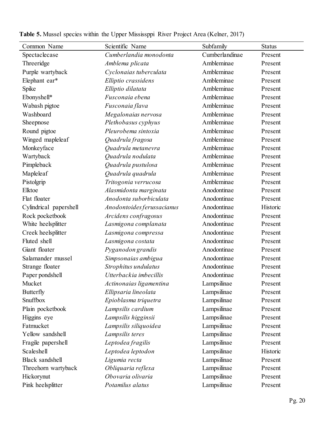| Common Name            | Scientific Name            | Subfamily      | <b>Status</b> |
|------------------------|----------------------------|----------------|---------------|
| Spectaclecase          | Cumberlandia monodonta     | Cumberlandinae | Present       |
| Threeridge             | Amblema plicata            | Ambleminae     | Present       |
| Purple wartyback       | Cyclonaias tuberculata     | Ambleminae     | Present       |
| Elephant ear*          | Elliptio crassidens        | Ambleminae     | Present       |
| Spike                  | Elliptio dilatata          | Ambleminae     | Present       |
| Ebonyshell*            | Fusconaia ebena            | Ambleminae     | Present       |
| Wabash pigtoe          | Fusconaia flava            | Ambleminae     | Present       |
| Washboard              | Megalonaias nervosa        | Ambleminae     | Present       |
| Sheepnose              | Plethobasus cyphyus        | Ambleminae     | Present       |
| Round pigtoe           | Pleurobema sintoxia        | Ambleminae     | Present       |
| Winged mapleleaf       | Quadrula fragosa           | Ambleminae     | Present       |
| Monkeyface             | Quadrula metanevra         | Ambleminae     | Present       |
| Wartyback              | Quadrula nodulata          | Ambleminae     | Present       |
| Pimpleback             | Quadrula pustulosa         | Ambleminae     | Present       |
| Mapleleaf              | Quadrula quadrula          | Ambleminae     | Present       |
| Pistolgrip             | Tritogonia verrucosa       | Ambleminae     | Present       |
| Elktoe                 | Alasmidonta marginata      | Anodontinae    | Present       |
| Flat floater           | Anodonta suborbiculata     | Anodontinae    | Present       |
| Cylindrical papershell | Anodontoides ferussacianus | Anodontinae    | Historic      |
| Rock pocketbook        | Arcidens confragosus       | Anodontinae    | Present       |
| White heelsplitter     | Lasmigona complanata       | Anodontinae    | Present       |
| Creek heelsplitter     | Lasmigona compressa        | Anodontinae    | Present       |
| Fluted shell           | Lasmigona costata          | Anodontinae    | Present       |
| Giant floater          | Pyganodon grandis          | Anodontinae    | Present       |
| Salamander mussel      | Simpsonaias ambigua        | Anodontinae    | Present       |
| Strange floater        | Strophitus undulatus       | Anodontinae    | Present       |
| Paper pondshell        | Utterbackia imbecillis     | Anodontinae    | Present       |
| Mucket                 | Actinonaias ligamentina    | Lampsilinae    | Present       |
| <b>Butterfly</b>       | Ellipsaria lineolata       | Lampsilinae    | Present       |
| Snuffbox               | Epioblasma triquetra       | Lampsilinae    | Present       |
| Plain pocketbook       | Lampsilis cardium          | Lampsilinae    | Present       |
| Higgins eye            | Lampsilis higginsii        | Lampsilinae    | Present       |
| Fatmucket              | Lampsilis siliquoidea      | Lampsilinae    | Present       |
| Yellow sandshell       | Lampsilis teres            | Lampsilinae    | Present       |
| Fragile papershell     | Leptodea fragilis          | Lampsilinae    | Present       |
| Scaleshell             | Leptodea leptodon          | Lampsilinae    | Historic      |
| <b>Black</b> sandshell | Ligumia recta              | Lampsilinae    | Present       |
| Threehorn wartyback    | Obliquaria reflexa         | Lampsilinae    | Present       |
| Hickorynut             | Obovaria olivaria          | Lampsilinae    | Present       |
| Pink heelsplitter      | Potamilus alatus           | Lampsilinae    | Present       |

**Table 5.** Mussel species within the Upper Mississppi River Project Area (Kelner, 2017)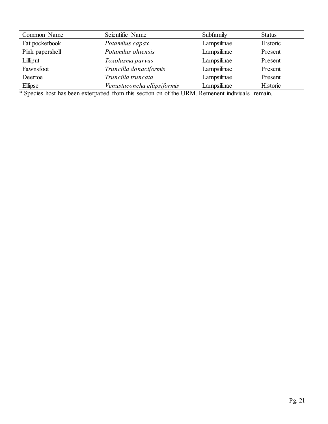| Common Name     | Scientific Name             | Subfamily   | <b>Status</b> |
|-----------------|-----------------------------|-------------|---------------|
| Fat pocketbook  | Potamilus capax             | Lampsilinae | Historic      |
| Pink papershell | Potamilus ohiensis          | Lampsilinae | Present       |
| Lilliput        | Toxolasma parvus            | Lampsilinae | Present       |
| Fawnsfoot       | Truncilla donaciformis      | Lampsilinae | Present       |
| Deertoe         | Truncilla truncata          | Lampsilinae | Present       |
| Ellipse         | Venustaconcha ellipsiformis | Lampsilinae | Historic      |

\* Species host has been exterpatied from this section on of the URM. Remenent indiviuals remain.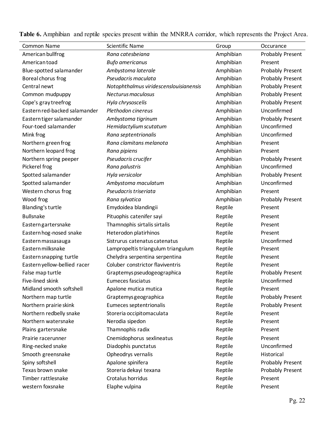| Common Name                   | <b>Scientific Name</b>                 | Group     | Occurance               |
|-------------------------------|----------------------------------------|-----------|-------------------------|
| American bullfrog             | Rana catesbeiana                       | Amphibian | Probably Present        |
| American toad                 | <b>Bufo americanus</b>                 | Amphibian | Present                 |
| Blue-spotted salamander       | Ambystoma laterale                     | Amphibian | Probably Present        |
| Boreal chorus frog            | Pseudacris maculata                    | Amphibian | Probably Present        |
| Central newt                  | Notophthalmus viridescenslouisianensis | Amphibian | Probably Present        |
| Common mudpuppy               | Necturus maculosus                     | Amphibian | Probably Present        |
| Cope's gray treefrog          | Hyla chrysoscelis                      | Amphibian | Probably Present        |
| Eastern red-backed salamander | Plethodon cinereus                     | Amphibian | Unconfirmed             |
| Eastern tiger salamander      | Ambystoma tigrinum                     | Amphibian | Probably Present        |
| Four-toed salamander          | Hemidactylium scutatum                 | Amphibian | Unconfirmed             |
| Mink frog                     | Rana septentrionalis                   | Amphibian | Unconfirmed             |
| Northern green frog           | Rana clamitans melanota                | Amphibian | Present                 |
| Northern leopard frog         | Rana pipiens                           | Amphibian | Present                 |
| Northern spring peeper        | Pseudacris crucifer                    | Amphibian | Probably Present        |
| Pickerel frog                 | Rana palustris                         | Amphibian | Unconfirmed             |
| Spotted salamander            | Hyla versicolor                        | Amphibian | Probably Present        |
| Spotted salamander            | Ambystoma maculatum                    | Amphibian | Unconfirmed             |
| Western chorus frog           | Pseudacris triseriata                  | Amphibian | Present                 |
| Wood frog                     | Rana sylvatica                         | Amphibian | <b>Probably Present</b> |
| Blanding's turtle             | Emydoidea blandingii                   | Reptile   | Present                 |
| <b>Bullsnake</b>              | Pituophis catenifer sayi               | Reptile   | Present                 |
| Easterngartersnake            | Thamnophis sirtalis sirtalis           | Reptile   | Present                 |
| Eastern hog-nosed snake       | Heterodon platirhinos                  | Reptile   | Present                 |
| Eastern massasauga            | Sistrurus catenatus catenatus          | Reptile   | Unconfirmed             |
| Eastern milksnake             | Lampropeltis triangulum triangulum     | Reptile   | Present                 |
| Eastern snapping turtle       | Chelydra serpentina serpentina         | Reptile   | Present                 |
| Eastern yellow-bellied racer  | Coluber constrictor flaviventris       | Reptile   | Present                 |
| False map turtle              | Graptemys pseudogeographica            | Reptile   | Probably Present        |
| Five-lined skink              | Eumeces fasciatus                      | Reptile   | Unconfirmed             |
| Midland smooth softshell      | Apalone mutica mutica                  | Reptile   | Present                 |
| Northern map turtle           | Graptemys geographica                  | Reptile   | <b>Probably Present</b> |
| Northern prairie skink        | Eumeces septentrionalis                | Reptile   | Probably Present        |
| Northern redbelly snake       | Storeria occipitomaculata              | Reptile   | Present                 |
| Northern watersnake           | Nerodia sipedon                        | Reptile   | Present                 |
| Plains gartersnake            | Thamnophis radix                       | Reptile   | Present                 |
| Prairie racerunner            | Cnemidophorus sexlineatus              | Reptile   | Present                 |
| Ring-necked snake             | Diadophis punctatus                    | Reptile   | Unconfirmed             |
| Smooth greensnake             | Opheodrys vernalis                     | Reptile   | Historical              |
| Spiny softshell               | Apalone spinifera                      | Reptile   | Probably Present        |
| Texas brown snake             | Storeria dekayi texana                 | Reptile   | <b>Probably Present</b> |
| Timber rattlesnake            | Crotalus horridus                      | Reptile   | Present                 |
| western foxsnake              | Elaphe vulpina                         | Reptile   | Present                 |

**Table 6.** Amphibian and reptile species present within the MNRRA corridor, which represents the Project Area.